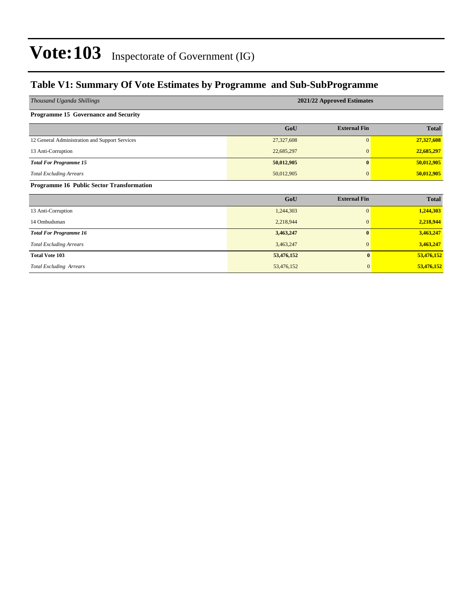### **Table V1: Summary Of Vote Estimates by Programme and Sub-SubProgramme**

| Thousand Uganda Shillings                        | 2021/22 Approved Estimates |                     |              |  |  |  |  |  |  |
|--------------------------------------------------|----------------------------|---------------------|--------------|--|--|--|--|--|--|
| Programme 15 Governance and Security             |                            |                     |              |  |  |  |  |  |  |
|                                                  | GoU                        | <b>External Fin</b> | <b>Total</b> |  |  |  |  |  |  |
| 12 General Administration and Support Services   | 27,327,608                 | $\overline{0}$      | 27,327,608   |  |  |  |  |  |  |
| 13 Anti-Corruption                               | 22,685,297                 | $\mathbf{0}$        | 22,685,297   |  |  |  |  |  |  |
| <b>Total For Programme 15</b>                    | 50,012,905                 | $\mathbf{0}$        | 50,012,905   |  |  |  |  |  |  |
| <b>Total Excluding Arrears</b>                   | 50,012,905                 | $\mathbf{0}$        | 50,012,905   |  |  |  |  |  |  |
| <b>Programme 16 Public Sector Transformation</b> |                            |                     |              |  |  |  |  |  |  |
|                                                  | GoU                        | <b>External Fin</b> | <b>Total</b> |  |  |  |  |  |  |
| 13 Anti-Corruption                               | 1,244,303                  | $\overline{0}$      | 1,244,303    |  |  |  |  |  |  |
| 14 Ombudsman                                     | 2,218,944                  | $\mathbf{0}$        | 2,218,944    |  |  |  |  |  |  |
| <b>Total For Programme 16</b>                    | 3,463,247                  | $\mathbf{0}$        | 3,463,247    |  |  |  |  |  |  |
| <b>Total Excluding Arrears</b>                   | 3,463,247                  | $\boldsymbol{0}$    | 3,463,247    |  |  |  |  |  |  |
| <b>Total Vote 103</b>                            | 53,476,152                 | $\bf{0}$            | 53,476,152   |  |  |  |  |  |  |
| <b>Total Excluding Arrears</b>                   | 53,476,152                 | $\mathbf{0}$        | 53,476,152   |  |  |  |  |  |  |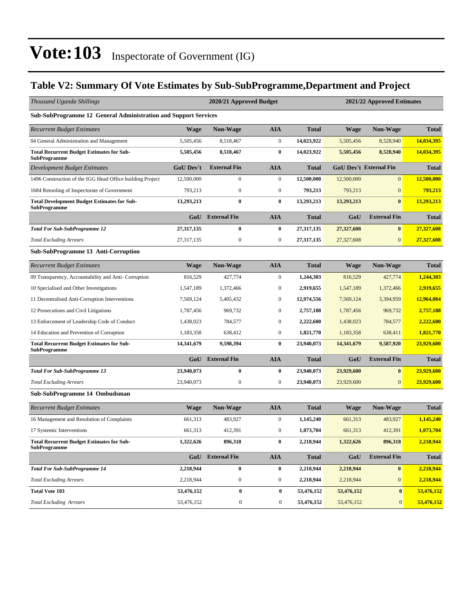### **Table V2: Summary Of Vote Estimates by Sub-SubProgramme,Department and Project**

| Thousand Uganda Shillings                                                 |                  | 2020/21 Approved Budget |                  |              | 2021/22 Approved Estimates |                               |              |  |  |
|---------------------------------------------------------------------------|------------------|-------------------------|------------------|--------------|----------------------------|-------------------------------|--------------|--|--|
| <b>Sub-SubProgramme 12 General Administration and Support Services</b>    |                  |                         |                  |              |                            |                               |              |  |  |
| <b>Recurrent Budget Estimates</b>                                         | Wage             | <b>Non-Wage</b>         | <b>AIA</b>       | <b>Total</b> | <b>Wage</b>                | <b>Non-Wage</b>               | <b>Total</b> |  |  |
| 04 General Administration and Management                                  | 5,505,456        | 8,518,467               | $\boldsymbol{0}$ | 14,023,922   | 5,505,456                  | 8,528,940                     | 14,034,395   |  |  |
| <b>Total Recurrent Budget Estimates for Sub-</b><br><b>SubProgramme</b>   | 5,505,456        | 8,518,467               | $\bf{0}$         | 14,023,922   | 5,505,456                  | 8,528,940                     | 14,034,395   |  |  |
| Development Budget Estimates                                              | <b>GoU Dev't</b> | <b>External Fin</b>     | <b>AIA</b>       | <b>Total</b> |                            | <b>GoU Dev't External Fin</b> | <b>Total</b> |  |  |
| 1496 Construction of the IGG Head Office building Project                 | 12,500,000       | $\boldsymbol{0}$        | $\boldsymbol{0}$ | 12,500,000   | 12,500,000                 | $\mathbf{0}$                  | 12,500,000   |  |  |
| 1684 Retooling of Inspectorate of Government                              | 793,213          | $\mathbf{0}$            | $\boldsymbol{0}$ | 793,213      | 793,213                    | $\mathbf{0}$                  | 793,213      |  |  |
| <b>Total Development Budget Estimates for Sub-</b><br><b>SubProgramme</b> | 13,293,213       | $\bf{0}$                | $\bf{0}$         | 13,293,213   | 13,293,213                 | $\bf{0}$                      | 13,293,213   |  |  |
|                                                                           | GoU              | <b>External Fin</b>     | <b>AIA</b>       | <b>Total</b> | GoU                        | <b>External Fin</b>           | <b>Total</b> |  |  |
| <b>Total For Sub-SubProgramme 12</b>                                      | 27,317,135       | $\bf{0}$                | $\bf{0}$         | 27,317,135   | 27,327,608                 | $\bf{0}$                      | 27,327,608   |  |  |
| <b>Total Excluding Arrears</b>                                            | 27,317,135       | $\boldsymbol{0}$        | $\boldsymbol{0}$ | 27,317,135   | 27,327,608                 | $\mathbf{0}$                  | 27,327,608   |  |  |
| <b>Sub-SubProgramme 13 Anti-Corruption</b>                                |                  |                         |                  |              |                            |                               |              |  |  |
| <b>Recurrent Budget Estimates</b>                                         | <b>Wage</b>      | Non-Wage                | <b>AIA</b>       | <b>Total</b> | <b>Wage</b>                | <b>Non-Wage</b>               | <b>Total</b> |  |  |
| 09 Transparency, Accountability and Anti- Corruption                      | 816,529          | 427,774                 | $\boldsymbol{0}$ | 1,244,303    | 816,529                    | 427,774                       | 1,244,303    |  |  |
| 10 Specialised and Other Investigations                                   | 1,547,189        | 1,372,466               | $\boldsymbol{0}$ | 2,919,655    | 1,547,189                  | 1,372,466                     | 2,919,655    |  |  |
| 11 Decentralised Anti-Corruption Interventions                            | 7,569,124        | 5,405,432               | $\mathbf{0}$     | 12,974,556   | 7,569,124                  | 5,394,959                     | 12,964,084   |  |  |
| 12 Prosecutions and Civil Litigations                                     | 1,787,456        | 969,732                 | $\boldsymbol{0}$ | 2,757,188    | 1,787,456                  | 969,732                       | 2,757,188    |  |  |
| 13 Enforcement of Leadership Code of Conduct                              | 1,438,023        | 784,577                 | $\mathbf{0}$     | 2,222,600    | 1,438,023                  | 784,577                       | 2,222,600    |  |  |
| 14 Education and Prevention of Corruption                                 | 1,183,358        | 638,412                 | $\boldsymbol{0}$ | 1,821,770    | 1,183,358                  | 638,411                       | 1,821,770    |  |  |
| <b>Total Recurrent Budget Estimates for Sub-</b><br><b>SubProgramme</b>   | 14,341,679       | 9,598,394               | $\bf{0}$         | 23,940,073   | 14,341,679                 | 9,587,920                     | 23,929,600   |  |  |
|                                                                           | GoU              | <b>External Fin</b>     | <b>AIA</b>       | <b>Total</b> | GoU                        | <b>External Fin</b>           | <b>Total</b> |  |  |
| <b>Total For Sub-SubProgramme 13</b>                                      | 23,940,073       | $\bf{0}$                | $\bf{0}$         | 23,940,073   | 23,929,600                 | $\bf{0}$                      | 23,929,600   |  |  |
| <b>Total Excluding Arrears</b>                                            | 23,940,073       | $\mathbf{0}$            | $\boldsymbol{0}$ | 23,940,073   | 23,929,600                 | $\boldsymbol{0}$              | 23,929,600   |  |  |
| Sub-SubProgramme 14 Ombudsman                                             |                  |                         |                  |              |                            |                               |              |  |  |
| <b>Recurrent Budget Estimates</b>                                         | <b>Wage</b>      | <b>Non-Wage</b>         | <b>AIA</b>       | <b>Total</b> | <b>Wage</b>                | <b>Non-Wage</b>               | <b>Total</b> |  |  |
| 16 Management and Resolution of Complaints                                | 661,313          | 483,927                 | $\boldsymbol{0}$ | 1,145,240    | 661,313                    | 483,927                       | 1,145,240    |  |  |
| 17 Systemic Interventions                                                 | 661,313          | 412,391                 | $\boldsymbol{0}$ | 1,073,704    | 661,313                    | 412,391                       | 1,073,704    |  |  |
| <b>Total Recurrent Budget Estimates for Sub-</b><br><b>SubProgramme</b>   | 1,322,626        | 896,318                 | $\bf{0}$         | 2,218,944    | 1,322,626                  | 896,318                       | 2,218,944    |  |  |
|                                                                           |                  | <b>GoU</b> External Fin | <b>AIA</b>       | <b>Total</b> | GoU                        | <b>External Fin</b>           | <b>Total</b> |  |  |
| <b>Total For Sub-SubProgramme 14</b>                                      | 2,218,944        | $\bf{0}$                | $\bf{0}$         | 2,218,944    | 2,218,944                  | $\bf{0}$                      | 2,218,944    |  |  |
| <b>Total Excluding Arrears</b>                                            | 2,218,944        | $\boldsymbol{0}$        | 0                | 2,218,944    | 2,218,944                  | $\boldsymbol{0}$              | 2,218,944    |  |  |
| <b>Total Vote 103</b>                                                     | 53,476,152       | $\bf{0}$                | $\bf{0}$         | 53,476,152   | 53,476,152                 | $\bf{0}$                      | 53,476,152   |  |  |
| <b>Total Excluding Arrears</b>                                            | 53,476,152       | $\boldsymbol{0}$        | $\boldsymbol{0}$ | 53,476,152   | 53,476,152                 | $\mathbf{0}$                  | 53,476,152   |  |  |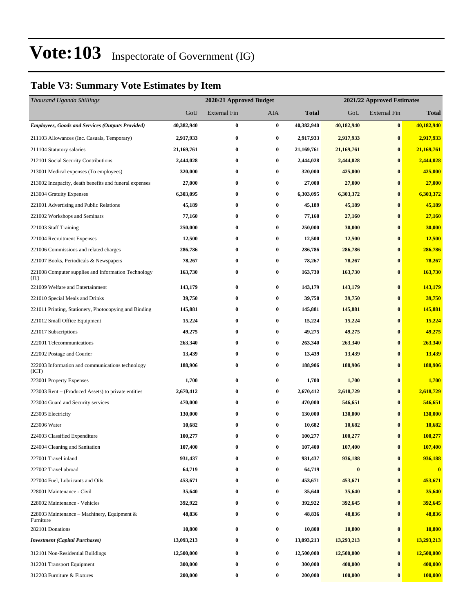### **Table V3: Summary Vote Estimates by Item**

| Thousand Uganda Shillings                                   |            | 2020/21 Approved Budget |            | 2021/22 Approved Estimates |            |                     |              |  |
|-------------------------------------------------------------|------------|-------------------------|------------|----------------------------|------------|---------------------|--------------|--|
|                                                             | GoU        | External Fin            | <b>AIA</b> | <b>Total</b>               | GoU        | <b>External Fin</b> | <b>Total</b> |  |
| <b>Employees, Goods and Services (Outputs Provided)</b>     | 40,382,940 | $\bf{0}$                | $\pmb{0}$  | 40,382,940                 | 40,182,940 | $\bf{0}$            | 40,182,940   |  |
| 211103 Allowances (Inc. Casuals, Temporary)                 | 2,917,933  | 0                       | $\bf{0}$   | 2,917,933                  | 2,917,933  | $\bf{0}$            | 2,917,933    |  |
| 211104 Statutory salaries                                   | 21,169,761 | 0                       | $\bf{0}$   | 21,169,761                 | 21,169,761 | $\bf{0}$            | 21,169,761   |  |
| 212101 Social Security Contributions                        | 2,444,028  | 0                       | $\bf{0}$   | 2,444,028                  | 2,444,028  | $\bf{0}$            | 2,444,028    |  |
| 213001 Medical expenses (To employees)                      | 320,000    | 0                       | $\bf{0}$   | 320,000                    | 425,000    | $\bf{0}$            | 425,000      |  |
| 213002 Incapacity, death benefits and funeral expenses      | 27,000     | $\bf{0}$                | $\bf{0}$   | 27,000                     | 27,000     | $\bf{0}$            | 27,000       |  |
| 213004 Gratuity Expenses                                    | 6,303,095  | 0                       | $\bf{0}$   | 6,303,095                  | 6,303,372  | $\bf{0}$            | 6,303,372    |  |
| 221001 Advertising and Public Relations                     | 45,189     | 0                       | $\bf{0}$   | 45,189                     | 45,189     | $\bf{0}$            | 45,189       |  |
| 221002 Workshops and Seminars                               | 77,160     | 0                       | $\bf{0}$   | 77,160                     | 27,160     | $\bf{0}$            | 27,160       |  |
| 221003 Staff Training                                       | 250,000    | 0                       | $\bf{0}$   | 250,000                    | 30,000     | $\bf{0}$            | 30,000       |  |
| 221004 Recruitment Expenses                                 | 12,500     | $\bf{0}$                | $\bf{0}$   | 12,500                     | 12,500     | $\bf{0}$            | 12,500       |  |
| 221006 Commissions and related charges                      | 286,786    | 0                       | $\bf{0}$   | 286,786                    | 286,786    | $\bf{0}$            | 286,786      |  |
| 221007 Books, Periodicals & Newspapers                      | 78,267     | 0                       | $\bf{0}$   | 78,267                     | 78,267     | $\boldsymbol{0}$    | 78,267       |  |
| 221008 Computer supplies and Information Technology<br>(TT) | 163,730    | 0                       | $\bf{0}$   | 163,730                    | 163,730    | $\bf{0}$            | 163,730      |  |
| 221009 Welfare and Entertainment                            | 143,179    | 0                       | $\bf{0}$   | 143,179                    | 143,179    | $\bf{0}$            | 143,179      |  |
| 221010 Special Meals and Drinks                             | 39,750     | 0                       | $\bf{0}$   | 39,750                     | 39,750     | $\bf{0}$            | 39,750       |  |
| 221011 Printing, Stationery, Photocopying and Binding       | 145,881    | 0                       | $\bf{0}$   | 145,881                    | 145,881    | $\bf{0}$            | 145,881      |  |
| 221012 Small Office Equipment                               | 15,224     | 0                       | $\bf{0}$   | 15,224                     | 15,224     | $\bf{0}$            | 15,224       |  |
| 221017 Subscriptions                                        | 49,275     | 0                       | $\bf{0}$   | 49,275                     | 49,275     | $\bf{0}$            | 49,275       |  |
| 222001 Telecommunications                                   | 263,340    | 0                       | $\bf{0}$   | 263,340                    | 263,340    | $\bf{0}$            | 263,340      |  |
| 222002 Postage and Courier                                  | 13,439     | 0                       | $\bf{0}$   | 13,439                     | 13,439     | $\bf{0}$            | 13,439       |  |
| 222003 Information and communications technology<br>(ICT)   | 188,906    | 0                       | $\bf{0}$   | 188,906                    | 188,906    | $\bf{0}$            | 188,906      |  |
| 223001 Property Expenses                                    | 1,700      | 0                       | $\bf{0}$   | 1,700                      | 1,700      | $\bf{0}$            | 1,700        |  |
| 223003 Rent – (Produced Assets) to private entities         | 2,670,412  | 0                       | $\bf{0}$   | 2,670,412                  | 2,618,729  | $\bf{0}$            | 2,618,729    |  |
| 223004 Guard and Security services                          | 470,000    | 0                       | $\bf{0}$   | 470,000                    | 546,651    | $\bf{0}$            | 546,651      |  |
| 223005 Electricity                                          | 130,000    | $\bf{0}$                | $\bf{0}$   | 130,000                    | 130,000    | $\bf{0}$            | 130,000      |  |
| 223006 Water                                                | 10,682     | 0                       | $\bf{0}$   | 10,682                     | 10,682     | $\bf{0}$            | 10,682       |  |
| 224003 Classified Expenditure                               | 100,277    | 0                       | $\bf{0}$   | 100,277                    | 100,277    | $\bf{0}$            | 100,277      |  |
| 224004 Cleaning and Sanitation                              | 107,400    | 0                       | $\bf{0}$   | 107,400                    | 107,400    | $\bf{0}$            | 107,400      |  |
| 227001 Travel inland                                        | 931,437    | 0                       | $\bf{0}$   | 931,437                    | 936,188    | $\bf{0}$            | 936,188      |  |
| 227002 Travel abroad                                        | 64,719     | $\bf{0}$                | $\bf{0}$   | 64,719                     | $\bf{0}$   | $\bf{0}$            | $\bf{0}$     |  |
| 227004 Fuel, Lubricants and Oils                            | 453,671    | 0                       | $\bf{0}$   | 453,671                    | 453,671    | $\bf{0}$            | 453,671      |  |
| 228001 Maintenance - Civil                                  | 35,640     | 0                       | $\bf{0}$   | 35,640                     | 35,640     | $\bf{0}$            | 35,640       |  |
| 228002 Maintenance - Vehicles                               | 392,922    | 0                       | $\bf{0}$   | 392,922                    | 392,645    | $\bf{0}$            | 392,645      |  |
| 228003 Maintenance - Machinery, Equipment &<br>Furniture    | 48,836     | 0                       | $\bf{0}$   | 48,836                     | 48,836     | $\bf{0}$            | 48,836       |  |
| 282101 Donations                                            | 10,800     | 0                       | $\bf{0}$   | 10,800                     | 10,800     | $\bf{0}$            | 10,800       |  |
| <b>Investment (Capital Purchases)</b>                       | 13,093,213 | 0                       | $\bf{0}$   | 13,093,213                 | 13,293,213 | $\bf{0}$            | 13,293,213   |  |
| 312101 Non-Residential Buildings                            | 12,500,000 | 0                       | $\bf{0}$   | 12,500,000                 | 12,500,000 | $\bf{0}$            | 12,500,000   |  |
| 312201 Transport Equipment                                  | 300,000    | 0                       | $\bf{0}$   | 300,000                    | 400,000    | $\bf{0}$            | 400,000      |  |
| 312203 Furniture & Fixtures                                 | 200,000    | 0                       | $\bf{0}$   | 200,000                    | 100,000    | $\bf{0}$            | 100,000      |  |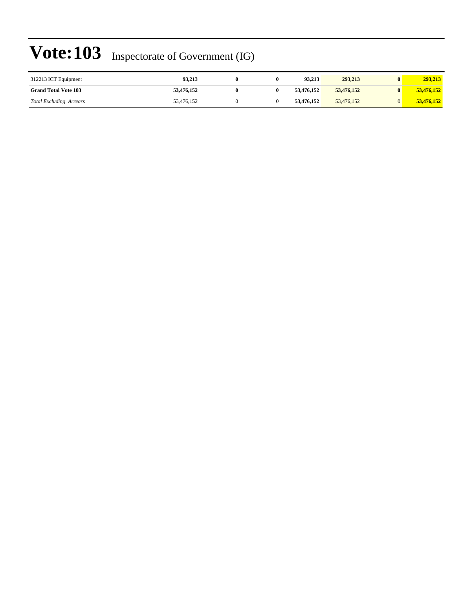| 312213 ICT Equipment           | 93.213     |  | 93.213     | 293,213    | 293,213    |
|--------------------------------|------------|--|------------|------------|------------|
| <b>Grand Total Vote 103</b>    | 53,476,152 |  | 53.476.152 | 53,476,152 | 53,476,152 |
| <b>Total Excluding Arrears</b> | 53,476,152 |  | 53,476,152 | 53,476,152 | 53,476,152 |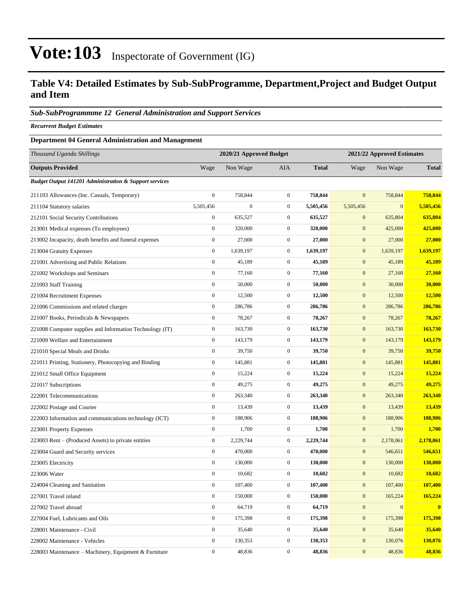### **Table V4: Detailed Estimates by Sub-SubProgramme, Department,Project and Budget Output and Item**

#### *Sub-SubProgrammme 12 General Administration and Support Services*

*Recurrent Budget Estimates*

#### **Department 04 General Administration and Management**

| Thousand Uganda Shillings                                         |                  | 2020/21 Approved Budget |                  |              | 2021/22 Approved Estimates |                  |              |
|-------------------------------------------------------------------|------------------|-------------------------|------------------|--------------|----------------------------|------------------|--------------|
| <b>Outputs Provided</b>                                           | Wage             | Non Wage                | <b>AIA</b>       | <b>Total</b> | Wage                       | Non Wage         | <b>Total</b> |
| <b>Budget Output 141201 Administration &amp; Support services</b> |                  |                         |                  |              |                            |                  |              |
| 211103 Allowances (Inc. Casuals, Temporary)                       | $\boldsymbol{0}$ | 758,844                 | $\mathbf{0}$     | 758,844      | $\mathbf{0}$               | 758,844          | 758,844      |
| 211104 Statutory salaries                                         | 5,505,456        | $\boldsymbol{0}$        | $\boldsymbol{0}$ | 5,505,456    | 5,505,456                  | $\mathbf{0}$     | 5,505,456    |
| 212101 Social Security Contributions                              | $\boldsymbol{0}$ | 635,527                 | $\mathbf{0}$     | 635,527      | $\mathbf{0}$               | 635,804          | 635,804      |
| 213001 Medical expenses (To employees)                            | $\boldsymbol{0}$ | 320,000                 | $\mathbf{0}$     | 320,000      | $\mathbf{0}$               | 425,000          | 425,000      |
| 213002 Incapacity, death benefits and funeral expenses            | $\boldsymbol{0}$ | 27,000                  | $\boldsymbol{0}$ | 27,000       | $\boldsymbol{0}$           | 27,000           | 27,000       |
| 213004 Gratuity Expenses                                          | $\boldsymbol{0}$ | 1,639,197               | $\mathbf{0}$     | 1,639,197    | $\boldsymbol{0}$           | 1,639,197        | 1,639,197    |
| 221001 Advertising and Public Relations                           | $\boldsymbol{0}$ | 45,189                  | $\mathbf{0}$     | 45,189       | $\boldsymbol{0}$           | 45,189           | 45,189       |
| 221002 Workshops and Seminars                                     | $\boldsymbol{0}$ | 77,160                  | $\mathbf{0}$     | 77,160       | $\boldsymbol{0}$           | 27,160           | 27,160       |
| 221003 Staff Training                                             | $\boldsymbol{0}$ | 50,000                  | $\mathbf{0}$     | 50,000       | $\mathbf{0}$               | 30,000           | 30,000       |
| 221004 Recruitment Expenses                                       | $\boldsymbol{0}$ | 12,500                  | $\boldsymbol{0}$ | 12,500       | $\boldsymbol{0}$           | 12,500           | 12,500       |
| 221006 Commissions and related charges                            | $\boldsymbol{0}$ | 286,786                 | $\boldsymbol{0}$ | 286,786      | $\boldsymbol{0}$           | 286,786          | 286,786      |
| 221007 Books, Periodicals & Newspapers                            | $\boldsymbol{0}$ | 78,267                  | $\boldsymbol{0}$ | 78,267       | $\boldsymbol{0}$           | 78,267           | 78,267       |
| 221008 Computer supplies and Information Technology (IT)          | $\boldsymbol{0}$ | 163,730                 | $\boldsymbol{0}$ | 163,730      | $\boldsymbol{0}$           | 163,730          | 163,730      |
| 221009 Welfare and Entertainment                                  | $\boldsymbol{0}$ | 143,179                 | $\mathbf{0}$     | 143,179      | $\mathbf{0}$               | 143,179          | 143,179      |
| 221010 Special Meals and Drinks                                   | $\boldsymbol{0}$ | 39,750                  | $\boldsymbol{0}$ | 39,750       | $\boldsymbol{0}$           | 39,750           | 39,750       |
| 221011 Printing, Stationery, Photocopying and Binding             | $\boldsymbol{0}$ | 145,881                 | $\boldsymbol{0}$ | 145,881      | $\boldsymbol{0}$           | 145,881          | 145,881      |
| 221012 Small Office Equipment                                     | $\boldsymbol{0}$ | 15,224                  | $\mathbf{0}$     | 15,224       | $\boldsymbol{0}$           | 15,224           | 15,224       |
| 221017 Subscriptions                                              | $\boldsymbol{0}$ | 49,275                  | $\boldsymbol{0}$ | 49,275       | $\boldsymbol{0}$           | 49,275           | 49,275       |
| 222001 Telecommunications                                         | $\boldsymbol{0}$ | 263,340                 | $\mathbf{0}$     | 263,340      | $\mathbf{0}$               | 263,340          | 263,340      |
| 222002 Postage and Courier                                        | $\boldsymbol{0}$ | 13,439                  | $\boldsymbol{0}$ | 13,439       | $\boldsymbol{0}$           | 13,439           | 13,439       |
| 222003 Information and communications technology (ICT)            | $\boldsymbol{0}$ | 188,906                 | $\boldsymbol{0}$ | 188,906      | $\boldsymbol{0}$           | 188,906          | 188,906      |
| 223001 Property Expenses                                          | $\boldsymbol{0}$ | 1,700                   | $\boldsymbol{0}$ | 1,700        | $\boldsymbol{0}$           | 1,700            | 1,700        |
| 223003 Rent - (Produced Assets) to private entities               | $\boldsymbol{0}$ | 2,229,744               | $\mathbf{0}$     | 2,229,744    | $\boldsymbol{0}$           | 2,178,061        | 2,178,061    |
| 223004 Guard and Security services                                | $\boldsymbol{0}$ | 470,000                 | $\mathbf{0}$     | 470,000      | $\mathbf{0}$               | 546,651          | 546,651      |
| 223005 Electricity                                                | $\boldsymbol{0}$ | 130,000                 | $\boldsymbol{0}$ | 130,000      | $\boldsymbol{0}$           | 130,000          | 130,000      |
| 223006 Water                                                      | $\boldsymbol{0}$ | 10,682                  | $\boldsymbol{0}$ | 10,682       | $\boldsymbol{0}$           | 10,682           | 10,682       |
| 224004 Cleaning and Sanitation                                    | $\boldsymbol{0}$ | 107,400                 | $\mathbf{0}$     | 107,400      | $\mathbf{0}$               | 107,400          | 107,400      |
| 227001 Travel inland                                              | $\boldsymbol{0}$ | 150,000                 | $\boldsymbol{0}$ | 150,000      | $\boldsymbol{0}$           | 165,224          | 165,224      |
| 227002 Travel abroad                                              | $\boldsymbol{0}$ | 64,719                  | $\boldsymbol{0}$ | 64,719       | $\boldsymbol{0}$           | $\boldsymbol{0}$ | $\bf{0}$     |
| 227004 Fuel, Lubricants and Oils                                  | $\boldsymbol{0}$ | 175,398                 | $\mathbf{0}$     | 175,398      | $\boldsymbol{0}$           | 175,398          | 175,398      |
| 228001 Maintenance - Civil                                        | $\boldsymbol{0}$ | 35,640                  | $\boldsymbol{0}$ | 35,640       | $\boldsymbol{0}$           | 35,640           | 35,640       |
| 228002 Maintenance - Vehicles                                     | $\boldsymbol{0}$ | 130,353                 | $\boldsymbol{0}$ | 130,353      | $\mathbf{0}$               | 130,076          | 130,076      |
| 228003 Maintenance – Machinery, Equipment & Furniture             | $\boldsymbol{0}$ | 48,836                  | $\boldsymbol{0}$ | 48,836       | $\boldsymbol{0}$           | 48,836           | 48,836       |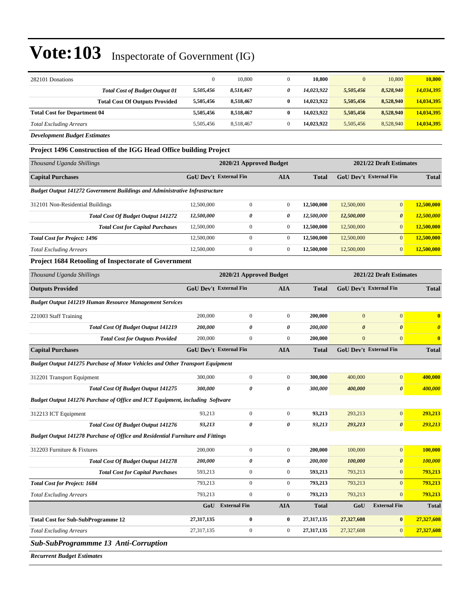| 282101 Donations                      |           | 10,800    | 10,800     | $\overline{0}$ | 10.800    | 10.800     |
|---------------------------------------|-----------|-----------|------------|----------------|-----------|------------|
| <b>Total Cost of Budget Output 01</b> | 5,505,456 | 8,518,467 | 14.023.922 | 5,505,456      | 8,528,940 | 14,034,395 |
| <b>Total Cost Of Outputs Provided</b> | 5,505,456 | 8,518,467 | 14.023.922 | 5.505.456      | 8.528.940 | 14,034,395 |
| <b>Total Cost for Department 04</b>   | 5,505,456 | 8,518,467 | 14.023.922 | 5,505,456      | 8,528,940 | 14,034,395 |
| <b>Total Excluding Arrears</b>        | 5,505,456 | 8.518.467 | 14.023.922 | 5,505,456      | 8,528,940 | 14,034,395 |
| $P \cup I$ $\cup P \cup P$            |           |           |            |                |           |            |

*Development Budget Estimates*

**Project 1496 Construction of the IGG Head Office building Project**

| Thousand Uganda Shillings                                                          |                                                             | 2020/21 Approved Budget | 2021/22 Draft Estimates |                               |            |                       |            |
|------------------------------------------------------------------------------------|-------------------------------------------------------------|-------------------------|-------------------------|-------------------------------|------------|-----------------------|------------|
| <b>Capital Purchases</b>                                                           | <b>GoU Dev't External Fin</b><br><b>AIA</b><br><b>Total</b> |                         |                         | <b>GoU</b> Dev't External Fin |            | <b>Total</b>          |            |
| <b>Budget Output 141272 Government Buildings and Administrative Infrastructure</b> |                                                             |                         |                         |                               |            |                       |            |
| 312101 Non-Residential Buildings                                                   | 12,500,000                                                  | $\mathbf{0}$            | $\mathbf{0}$            | 12,500,000                    | 12,500,000 | $\overline{0}$        | 12,500,000 |
| <b>Total Cost Of Budget Output 141272</b>                                          | 12,500,000                                                  | 0                       | 0                       | 12,500,000                    | 12,500,000 | $\boldsymbol{\theta}$ | 12,500,000 |
| <b>Total Cost for Capital Purchases</b>                                            | 12,500,000                                                  | $\mathbf{0}$            | $\mathbf{0}$            | 12,500,000                    | 12,500,000 | $\overline{0}$        | 12,500,000 |
| <b>Total Cost for Project: 1496</b>                                                | 12,500,000                                                  | $\Omega$                | $\Omega$                | 12,500,000                    | 12,500,000 | $\overline{0}$        | 12,500,000 |
| <b>Total Excluding Arrears</b>                                                     | 12,500,000                                                  | $\mathbf{0}$            | $\mathbf{0}$            | 12,500,000                    | 12,500,000 | $\overline{0}$        | 12,500,000 |

#### **Project 1684 Retooling of Inspectorate of Government**

| Thousand Uganda Shillings                                                            |                               | 2020/21 Approved Budget |                  | 2021/22 Draft Estimates |                       |                               |                         |
|--------------------------------------------------------------------------------------|-------------------------------|-------------------------|------------------|-------------------------|-----------------------|-------------------------------|-------------------------|
| <b>Outputs Provided</b>                                                              | <b>GoU Dev't External Fin</b> |                         | <b>AIA</b>       | <b>Total</b>            |                       | GoU Dev't External Fin        | <b>Total</b>            |
| <b>Budget Output 141219 Human Resource Management Services</b>                       |                               |                         |                  |                         |                       |                               |                         |
| 221003 Staff Training                                                                | 200,000                       | $\overline{0}$          | $\mathbf{0}$     | 200,000                 | $\boldsymbol{0}$      | $\mathbf{0}$                  | $\bf{0}$                |
| <b>Total Cost Of Budget Output 141219</b>                                            | 200,000                       | 0                       | 0                | 200,000                 | $\boldsymbol{\theta}$ | $\boldsymbol{\theta}$         | $\boldsymbol{\theta}$   |
| <b>Total Cost for Outputs Provided</b>                                               | 200,000                       | $\overline{0}$          | $\overline{0}$   | 200,000                 | $\mathbf{0}$          | $\overline{0}$                | $\overline{\mathbf{0}}$ |
| <b>Capital Purchases</b>                                                             | <b>GoU Dev't External Fin</b> |                         | <b>AIA</b>       | <b>Total</b>            |                       | <b>GoU Dev't External Fin</b> | <b>Total</b>            |
| <b>Budget Output 141275 Purchase of Motor Vehicles and Other Transport Equipment</b> |                               |                         |                  |                         |                       |                               |                         |
| 312201 Transport Equipment                                                           | 300,000                       | $\mathbf{0}$            | $\boldsymbol{0}$ | 300,000                 | 400,000               | $\mathbf{0}$                  | 400,000                 |
| <b>Total Cost Of Budget Output 141275</b>                                            | 300,000                       | 0                       | 0                | 300,000                 | 400,000               | $\boldsymbol{\theta}$         | 400,000                 |
| Budget Output 141276 Purchase of Office and ICT Equipment, including Software        |                               |                         |                  |                         |                       |                               |                         |
| 312213 ICT Equipment                                                                 | 93,213                        | $\boldsymbol{0}$        | $\overline{0}$   | 93,213                  | 293,213               | $\mathbf{0}$                  | 293,213                 |
| <b>Total Cost Of Budget Output 141276</b>                                            | 93,213                        | 0                       | 0                | 93,213                  | 293,213               | $\boldsymbol{\theta}$         | 293,213                 |
| Budget Output 141278 Purchase of Office and Residential Furniture and Fittings       |                               |                         |                  |                         |                       |                               |                         |
| 312203 Furniture & Fixtures                                                          | 200,000                       | $\boldsymbol{0}$        | $\boldsymbol{0}$ | 200,000                 | 100,000               | $\mathbf{0}$                  | 100,000                 |
| <b>Total Cost Of Budget Output 141278</b>                                            | 200,000                       | 0                       | 0                | 200,000                 | 100,000               | $\boldsymbol{\theta}$         | 100,000                 |
| <b>Total Cost for Capital Purchases</b>                                              | 593,213                       | $\boldsymbol{0}$        | $\boldsymbol{0}$ | 593,213                 | 793,213               | $\overline{0}$                | 793,213                 |
| <b>Total Cost for Project: 1684</b>                                                  | 793,213                       | $\overline{0}$          | $\overline{0}$   | 793,213                 | 793,213               | $\overline{0}$                | 793,213                 |
| <b>Total Excluding Arrears</b>                                                       | 793,213                       | $\boldsymbol{0}$        | $\overline{0}$   | 793,213                 | 793,213               | $\overline{0}$                | 793,213                 |
|                                                                                      | GoU                           | <b>External Fin</b>     | <b>AIA</b>       | <b>Total</b>            | GoU                   | <b>External Fin</b>           | <b>Total</b>            |
| <b>Total Cost for Sub-SubProgramme 12</b>                                            | 27,317,135                    | $\bf{0}$                | $\bf{0}$         | 27,317,135              | 27,327,608            | $\bf{0}$                      | 27,327,608              |
| <b>Total Excluding Arrears</b>                                                       | 27,317,135                    | $\boldsymbol{0}$        | $\boldsymbol{0}$ | 27,317,135              | 27,327,608            | $\mathbf{0}$                  | 27,327,608              |
| Sub-SubProgrammme 13 Anti-Corruption                                                 |                               |                         |                  |                         |                       |                               |                         |
| $\mathbf{r}$                                                                         |                               |                         |                  |                         |                       |                               |                         |

*Recurrent Budget Estimates*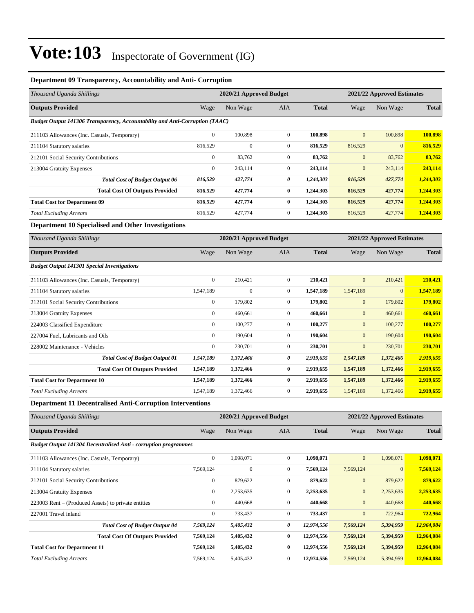#### **Department 09 Transparency, Accountability and Anti- Corruption**

| Thousand Uganda Shillings                                                    | 2020/21 Approved Budget                               |              |                  |              | 2021/22 Approved Estimates |              |              |  |
|------------------------------------------------------------------------------|-------------------------------------------------------|--------------|------------------|--------------|----------------------------|--------------|--------------|--|
| <b>Outputs Provided</b>                                                      | Wage                                                  | Non Wage     | AIA              | <b>Total</b> | Wage                       | Non Wage     | <b>Total</b> |  |
| Budget Output 141306 Transparency, Accountability and Anti-Corruption (TAAC) |                                                       |              |                  |              |                            |              |              |  |
| 211103 Allowances (Inc. Casuals, Temporary)                                  | $\mathbf{0}$                                          | 100,898      | $\mathbf{0}$     | 100,898      | $\overline{0}$             | 100,898      | 100,898      |  |
| 211104 Statutory salaries                                                    | 816,529                                               | $\mathbf{0}$ | $\boldsymbol{0}$ | 816,529      | 816,529                    | $\mathbf{0}$ | 816,529      |  |
| 212101 Social Security Contributions                                         | $\boldsymbol{0}$                                      | 83,762       | $\mathbf{0}$     | 83,762       | $\mathbf{0}$               | 83,762       | 83,762       |  |
| 213004 Gratuity Expenses                                                     | $\boldsymbol{0}$                                      | 243,114      | $\mathbf{0}$     | 243,114      | $\overline{0}$             | 243,114      | 243,114      |  |
| <b>Total Cost of Budget Output 06</b>                                        | 816,529                                               | 427,774      | 0                | 1,244,303    | 816,529                    | 427,774      | 1,244,303    |  |
| <b>Total Cost Of Outputs Provided</b>                                        | 816,529                                               | 427,774      | $\bf{0}$         | 1,244,303    | 816,529                    | 427,774      | 1,244,303    |  |
| <b>Total Cost for Department 09</b>                                          | 816,529                                               | 427,774      | $\bf{0}$         | 1,244,303    | 816,529                    | 427,774      | 1,244,303    |  |
| <b>Total Excluding Arrears</b>                                               | 816,529                                               | 427,774      | $\boldsymbol{0}$ | 1,244,303    | 816,529                    | 427,774      | 1,244,303    |  |
| Department 10 Specialised and Other Investigations                           |                                                       |              |                  |              |                            |              |              |  |
| Thousand Uganda Shillings                                                    | 2020/21 Approved Budget<br>2021/22 Approved Estimates |              |                  |              |                            |              |              |  |
| <b>Outputs Provided</b>                                                      | Wage                                                  | Non Wage     | AIA              | <b>Total</b> | Wage                       | Non Wage     | <b>Total</b> |  |
| <b>Budget Output 141301 Special Investigations</b>                           |                                                       |              |                  |              |                            |              |              |  |
| 211103 Allowances (Inc. Casuals, Temporary)                                  | $\mathbf{0}$                                          | 210,421      | $\mathbf{0}$     | 210,421      | $\mathbf{0}$               | 210,421      | 210,421      |  |
| 211104 Statutory salaries                                                    | 1,547,189                                             | $\mathbf{0}$ | $\mathbf{0}$     | 1,547,189    | 1,547,189                  | $\mathbf{0}$ | 1,547,189    |  |
| 212101 Social Security Contributions                                         | $\boldsymbol{0}$                                      | 179,802      | $\mathbf{0}$     | 179,802      | $\mathbf{0}$               | 179,802      | 179,802      |  |
| 213004 Gratuity Expenses                                                     | $\boldsymbol{0}$                                      | 460,661      | $\mathbf{0}$     | 460,661      | $\mathbf{0}$               | 460,661      | 460,661      |  |
| 224003 Classified Expenditure                                                | $\boldsymbol{0}$                                      | 100,277      | $\mathbf{0}$     | 100,277      | $\mathbf{0}$               | 100,277      | 100,277      |  |
| 227004 Fuel, Lubricants and Oils                                             | $\boldsymbol{0}$                                      | 190,604      | $\boldsymbol{0}$ | 190,604      | $\mathbf{0}$               | 190,604      | 190,604      |  |
| 228002 Maintenance - Vehicles                                                | $\mathbf{0}$                                          | 230,701      | $\mathbf{0}$     | 230,701      | $\mathbf{0}$               | 230,701      | 230,701      |  |
| <b>Total Cost of Budget Output 01</b>                                        | 1,547,189                                             | 1,372,466    | 0                | 2,919,655    | 1,547,189                  | 1,372,466    | 2,919,655    |  |
| <b>Total Cost Of Outputs Provided</b>                                        | 1,547,189                                             | 1,372,466    | $\bf{0}$         | 2,919,655    | 1,547,189                  | 1,372,466    | 2,919,655    |  |
| <b>Total Cost for Department 10</b>                                          | 1,547,189                                             | 1,372,466    | $\bf{0}$         | 2,919,655    | 1,547,189                  | 1,372,466    | 2,919,655    |  |
| <b>Total Excluding Arrears</b>                                               | 1,547,189                                             | 1,372,466    | $\mathbf{0}$     | 2,919,655    | 1,547,189                  | 1,372,466    | 2,919,655    |  |
| <b>Department 11 Decentralised Anti-Corruption Interventions</b>             |                                                       |              |                  |              |                            |              |              |  |
| Thousand Uganda Shillings                                                    | 2020/21 Approved Budget<br>2021/22 Approved Estimates |              |                  |              |                            |              |              |  |

| Thousana Oganaa Shuungs                                                |                | <i>Evener Approved Budget</i> |                |              | $2021/22$ Approved Estimates |              |              |
|------------------------------------------------------------------------|----------------|-------------------------------|----------------|--------------|------------------------------|--------------|--------------|
| <b>Outputs Provided</b>                                                | Wage           | Non Wage                      | <b>AIA</b>     | <b>Total</b> | Wage                         | Non Wage     | <b>Total</b> |
| <b>Budget Output 141304 Decentralised Anti - corruption programmes</b> |                |                               |                |              |                              |              |              |
| 211103 Allowances (Inc. Casuals, Temporary)                            | $\mathbf{0}$   | 1,098,071                     | $\overline{0}$ | 1,098,071    | $\mathbf{0}$                 | 1,098,071    | 1,098,071    |
| 211104 Statutory salaries                                              | 7,569,124      | $\mathbf{0}$                  | 0              | 7,569,124    | 7,569,124                    | $\mathbf{0}$ | 7,569,124    |
| 212101 Social Security Contributions                                   | $\overline{0}$ | 879,622                       | $\overline{0}$ | 879,622      | $\mathbf{0}$                 | 879,622      | 879,622      |
| 213004 Gratuity Expenses                                               | $\mathbf{0}$   | 2,253,635                     | $\overline{0}$ | 2,253,635    | $\boldsymbol{0}$             | 2,253,635    | 2,253,635    |
| 223003 Rent – (Produced Assets) to private entities                    | $\overline{0}$ | 440,668                       | $\overline{0}$ | 440,668      | $\boldsymbol{0}$             | 440,668      | 440,668      |
| 227001 Travel inland                                                   | $\overline{0}$ | 733,437                       | $\overline{0}$ | 733,437      | $\mathbf{0}$                 | 722,964      | 722,964      |
| <b>Total Cost of Budget Output 04</b>                                  | 7,569,124      | 5,405,432                     | 0              | 12,974,556   | 7,569,124                    | 5,394,959    | 12,964,084   |
| <b>Total Cost Of Outputs Provided</b>                                  | 7,569,124      | 5,405,432                     | $\bf{0}$       | 12,974,556   | 7,569,124                    | 5,394,959    | 12,964,084   |
| <b>Total Cost for Department 11</b>                                    | 7,569,124      | 5,405,432                     | $\bf{0}$       | 12,974,556   | 7,569,124                    | 5,394,959    | 12,964,084   |
| <b>Total Excluding Arrears</b>                                         | 7,569,124      | 5,405,432                     | $\overline{0}$ | 12,974,556   | 7,569,124                    | 5,394,959    | 12,964,084   |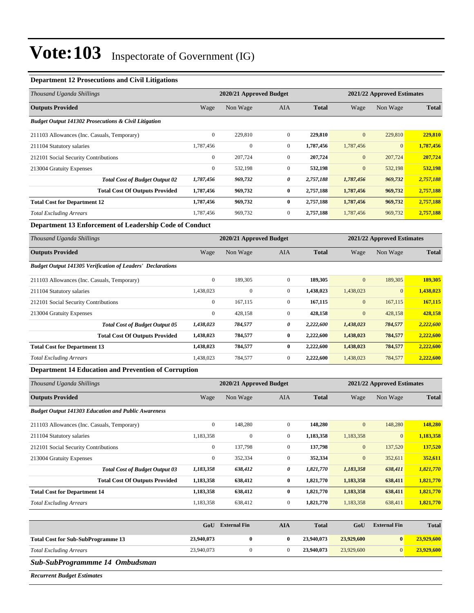#### **Department 12 Prosecutions and Civil Litigations**

| Thousand Uganda Shillings                                       |                                                       | 2020/21 Approved Budget |                |              |              | 2021/22 Approved Estimates |              |  |  |
|-----------------------------------------------------------------|-------------------------------------------------------|-------------------------|----------------|--------------|--------------|----------------------------|--------------|--|--|
| <b>Outputs Provided</b>                                         | Wage                                                  | Non Wage                | <b>AIA</b>     | <b>Total</b> | Wage         | Non Wage                   | <b>Total</b> |  |  |
| <b>Budget Output 141302 Prosecutions &amp; Civil Litigation</b> |                                                       |                         |                |              |              |                            |              |  |  |
| 211103 Allowances (Inc. Casuals, Temporary)                     | $\mathbf{0}$                                          | 229,810                 | $\overline{0}$ | 229,810      | $\mathbf{0}$ | 229,810                    | 229,810      |  |  |
| 211104 Statutory salaries                                       | 1,787,456                                             | $\mathbf{0}$            | $\overline{0}$ | 1,787,456    | 1,787,456    | $\mathbf{0}$               | 1,787,456    |  |  |
| 212101 Social Security Contributions                            | $\mathbf{0}$                                          | 207,724                 | $\overline{0}$ | 207,724      | $\mathbf{0}$ | 207,724                    | 207,724      |  |  |
| 213004 Gratuity Expenses                                        | $\boldsymbol{0}$                                      | 532,198                 | $\overline{0}$ | 532,198      | $\mathbf{0}$ | 532,198                    | 532,198      |  |  |
| <b>Total Cost of Budget Output 02</b>                           | 1,787,456                                             | 969,732                 | 0              | 2,757,188    | 1,787,456    | 969,732                    | 2,757,188    |  |  |
| <b>Total Cost Of Outputs Provided</b>                           | 1,787,456                                             | 969,732                 | $\bf{0}$       | 2,757,188    | 1,787,456    | 969,732                    | 2,757,188    |  |  |
| <b>Total Cost for Department 12</b>                             | 1,787,456                                             | 969,732                 | $\bf{0}$       | 2,757,188    | 1,787,456    | 969,732                    | 2,757,188    |  |  |
| <b>Total Excluding Arrears</b>                                  | 1,787,456                                             | 969,732                 | $\overline{0}$ | 2,757,188    | 1,787,456    | 969,732                    | 2,757,188    |  |  |
| Department 13 Enforcement of Leadership Code of Conduct         |                                                       |                         |                |              |              |                            |              |  |  |
| Thousand Uganda Shillings                                       | 2020/21 Approved Budget<br>2021/22 Approved Estimates |                         |                |              |              |                            |              |  |  |
| <b>Outputs Provided</b>                                         | Wage                                                  | Non Wage                | <b>AIA</b>     | <b>Total</b> | Wage         | Non Wage                   | <b>Total</b> |  |  |

#### *Budget Output 141305 Verification of Leaders' Declarations*

|                                             | $D$ and $D$ are $D$ and $D$ and $D$ and $D$ are $D$ are $D$ are $D$ and $D$ are $D$ and $D$ are $D$ and $D$ and $D$ are $D$ and $D$ and $D$ and $D$ and $D$ and $D$ and $D$ and $D$ and $D$ and $D$ and $D$ and $D$ and $D$ a |              |              |              |           |              |                 |           |
|---------------------------------------------|-------------------------------------------------------------------------------------------------------------------------------------------------------------------------------------------------------------------------------|--------------|--------------|--------------|-----------|--------------|-----------------|-----------|
| 211103 Allowances (Inc. Casuals, Temporary) |                                                                                                                                                                                                                               | $\mathbf{0}$ | 189,305      | $\mathbf{0}$ | 189.305   | $\mathbf{0}$ | 189,305         | 189.305   |
| 211104 Statutory salaries                   |                                                                                                                                                                                                                               | 1,438,023    | $\mathbf{0}$ | $\mathbf{0}$ | 1,438,023 | 1,438,023    | $\vert 0 \vert$ | 1,438,023 |
| 212101 Social Security Contributions        |                                                                                                                                                                                                                               | $\mathbf{0}$ | 167,115      | $\mathbf{0}$ | 167,115   | $\mathbf{0}$ | 167,115         | 167,115   |
| 213004 Gratuity Expenses                    |                                                                                                                                                                                                                               | $\mathbf{0}$ | 428,158      | $\mathbf{0}$ | 428,158   | $\mathbf{0}$ | 428,158         | 428,158   |
|                                             | <b>Total Cost of Budget Output 05</b>                                                                                                                                                                                         | 1,438,023    | 784,577      | 0            | 2.222.600 | 1,438,023    | 784,577         | 2,222,600 |
|                                             | <b>Total Cost Of Outputs Provided</b>                                                                                                                                                                                         | 1,438,023    | 784,577      | $\bf{0}$     | 2,222,600 | 1,438,023    | 784,577         | 2,222,600 |
| <b>Total Cost for Department 13</b>         |                                                                                                                                                                                                                               | 1,438,023    | 784,577      | $\bf{0}$     | 2,222,600 | 1,438,023    | 784,577         | 2,222,600 |
| <b>Total Excluding Arrears</b>              |                                                                                                                                                                                                                               | 1,438,023    | 784,577      | $\mathbf{0}$ | 2,222,600 | 1,438,023    | 784,577         | 2,222,600 |

#### **Department 14 Education and Prevention of Corruption**

| Thousand Uganda Shillings                                  | 2020/21 Approved Budget |              |                |              | 2021/22 Approved Estimates |                |              |  |
|------------------------------------------------------------|-------------------------|--------------|----------------|--------------|----------------------------|----------------|--------------|--|
| <b>Outputs Provided</b>                                    | Wage                    | Non Wage     | <b>AIA</b>     | <b>Total</b> | Wage                       | Non Wage       | <b>Total</b> |  |
| <b>Budget Output 141303 Education and Public Awareness</b> |                         |              |                |              |                            |                |              |  |
| 211103 Allowances (Inc. Casuals, Temporary)                | $\boldsymbol{0}$        | 148,280      | $\overline{0}$ | 148,280      | $\mathbf{0}$               | 148,280        | 148,280      |  |
| 211104 Statutory salaries                                  | 1,183,358               | $\mathbf{0}$ | $\overline{0}$ | 1,183,358    | 1,183,358                  | $\overline{0}$ | 1,183,358    |  |
| 212101 Social Security Contributions                       | $\mathbf{0}$            | 137,798      | $\overline{0}$ | 137,798      | $\mathbf{0}$               | 137,520        | 137,520      |  |
| 213004 Gratuity Expenses                                   | $\mathbf{0}$            | 352,334      | $\overline{0}$ | 352,334      | $\mathbf{0}$               | 352,611        | 352,611      |  |
| <b>Total Cost of Budget Output 03</b>                      | 1,183,358               | 638,412      | 0              | 1,821,770    | 1,183,358                  | 638,411        | 1,821,770    |  |
| <b>Total Cost Of Outputs Provided</b>                      | 1,183,358               | 638,412      | $\bf{0}$       | 1,821,770    | 1,183,358                  | 638,411        | 1,821,770    |  |
| <b>Total Cost for Department 14</b>                        | 1,183,358               | 638,412      | $\bf{0}$       | 1,821,770    | 1,183,358                  | 638,411        | 1,821,770    |  |
| <b>Total Excluding Arrears</b>                             | 1,183,358               | 638,412      | $\overline{0}$ | 1,821,770    | 1,183,358                  | 638,411        | 1,821,770    |  |

|                                           | GoU        | <b>External Fin</b> | AIA | <b>Total</b> | GoU        | <b>External Fin</b> | <b>Total</b> |
|-------------------------------------------|------------|---------------------|-----|--------------|------------|---------------------|--------------|
| <b>Total Cost for Sub-SubProgramme 13</b> | 23,940,073 |                     | 0   | 23,940,073   | 23,929,600 | $\mathbf{0}$        | 23,929,600   |
| <b>Total Excluding Arrears</b>            | 23,940,073 |                     |     | 23,940,073   | 23,929,600 | $\Omega$            | 23,929,600   |

#### *Sub-SubProgrammme 14 Ombudsman*

*Recurrent Budget Estimates*